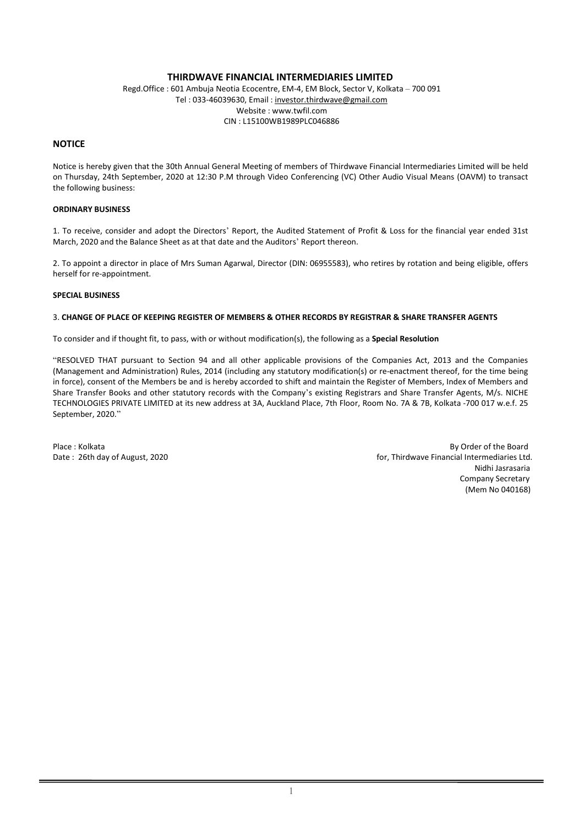## THIRDWAVE FINANCIAL INTERMEDIARIES LIMITED

Regd.Office : 601 Ambuja Neotia Ecocentre, EM-4, EM Block, Sector V, Kolkata – 700 091 Tel : 033-46039630, Email : investor.thirdwave@gmail.com Website : www.twfil.com CIN : L15100WB1989PLC046886

## **NOTICE**

Notice is hereby given that the 30th Annual General Meeting of members of Thirdwave Financial Intermediaries Limited will be held on Thursday, 24th September, 2020 at 12:30 P.M through Video Conferencing (VC) Other Audio Visual Means (OAVM) to transact the following business:

## ORDINARY BUSINESS

1. To receive, consider and adopt the Directors' Report, the Audited Statement of Profit & Loss for the financial year ended 31st March, 2020 and the Balance Sheet as at that date and the Auditors' Report thereon.

2. To appoint a director in place of Mrs Suman Agarwal, Director (DIN: 06955583), who retires by rotation and being eligible, offers herself for re-appointment.

## SPECIAL BUSINESS

### 3. CHANGE OF PLACE OF KEEPING REGISTER OF MEMBERS & OTHER RECORDS BY REGISTRAR & SHARE TRANSFER AGENTS

To consider and if thought fit, to pass, with or without modification(s), the following as a Special Resolution

"RESOLVED THAT pursuant to Section 94 and all other applicable provisions of the Companies Act, 2013 and the Companies (Management and Administration) Rules, 2014 (including any statutory modification(s) or re-enactment thereof, for the time being in force), consent of the Members be and is hereby accorded to shift and maintain the Register of Members, Index of Members and Share Transfer Books and other statutory records with the Company's existing Registrars and Share Transfer Agents, M/s. NICHE TECHNOLOGIES PRIVATE LIMITED at its new address at 3A, Auckland Place, 7th Floor, Room No. 7A & 7B, Kolkata -700 017 w.e.f. 25 September, 2020."

Place : Kolkata By Order of the Board Date: 26th day of August, 2020 **formulated as a controlled and the Controlled August** Financial Intermediaries Ltd. Nidhi Jasrasaria Company Secretary (Mem No 040168)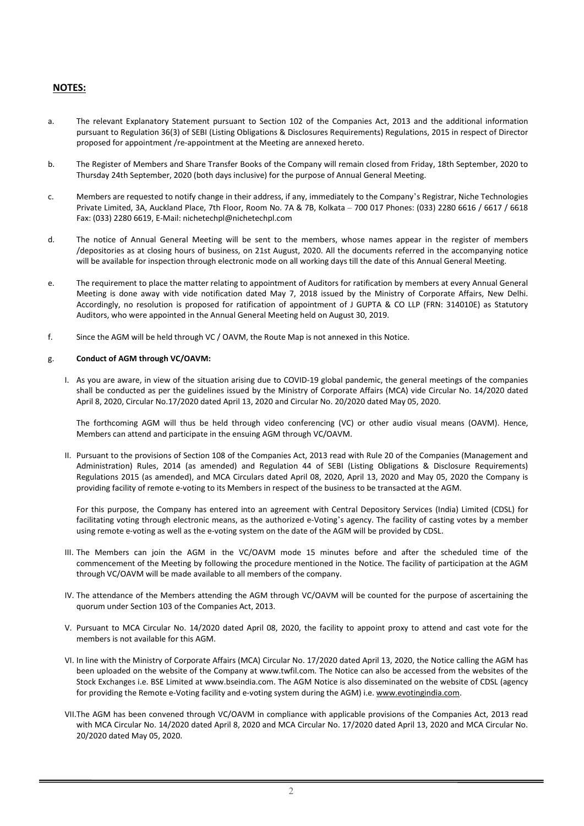# NOTES:

- a. The relevant Explanatory Statement pursuant to Section 102 of the Companies Act, 2013 and the additional information pursuant to Regulation 36(3) of SEBI (Listing Obligations & Disclosures Requirements) Regulations, 2015 in respect of Director proposed for appointment /re-appointment at the Meeting are annexed hereto.
- b. The Register of Members and Share Transfer Books of the Company will remain closed from Friday, 18th September, 2020 to Thursday 24th September, 2020 (both days inclusive) for the purpose of Annual General Meeting.
- c. Members are requested to notify change in their address, if any, immediately to the Company's Registrar, Niche Technologies Private Limited, 3A, Auckland Place, 7th Floor, Room No. 7A & 7B, Kolkata – 700 017 Phones: (033) 2280 6616 / 6617 / 6618 Fax: (033) 2280 6619, E-Mail: nichetechpl@nichetechpl.com
- d. The notice of Annual General Meeting will be sent to the members, whose names appear in the register of members /depositories as at closing hours of business, on 21st August, 2020. All the documents referred in the accompanying notice will be available for inspection through electronic mode on all working days till the date of this Annual General Meeting.
- e. The requirement to place the matter relating to appointment of Auditors for ratification by members at every Annual General Meeting is done away with vide notification dated May 7, 2018 issued by the Ministry of Corporate Affairs, New Delhi. Accordingly, no resolution is proposed for ratification of appointment of J GUPTA & CO LLP (FRN: 314010E) as Statutory Auditors, who were appointed in the Annual General Meeting held on August 30, 2019.
- f. Since the AGM will be held through VC / OAVM, the Route Map is not annexed in this Notice.

## g. Conduct of AGM through VC/OAVM:

I. As you are aware, in view of the situation arising due to COVID-19 global pandemic, the general meetings of the companies shall be conducted as per the guidelines issued by the Ministry of Corporate Affairs (MCA) vide Circular No. 14/2020 dated April 8, 2020, Circular No.17/2020 dated April 13, 2020 and Circular No. 20/2020 dated May 05, 2020.

The forthcoming AGM will thus be held through video conferencing (VC) or other audio visual means (OAVM). Hence, Members can attend and participate in the ensuing AGM through VC/OAVM.

II. Pursuant to the provisions of Section 108 of the Companies Act, 2013 read with Rule 20 of the Companies (Management and Administration) Rules, 2014 (as amended) and Regulation 44 of SEBI (Listing Obligations & Disclosure Requirements) Regulations 2015 (as amended), and MCA Circulars dated April 08, 2020, April 13, 2020 and May 05, 2020 the Company is providing facility of remote e-voting to its Members in respect of the business to be transacted at the AGM.

For this purpose, the Company has entered into an agreement with Central Depository Services (India) Limited (CDSL) for facilitating voting through electronic means, as the authorized e-Voting's agency. The facility of casting votes by a member using remote e-voting as well as the e-voting system on the date of the AGM will be provided by CDSL.

- III. The Members can join the AGM in the VC/OAVM mode 15 minutes before and after the scheduled time of the commencement of the Meeting by following the procedure mentioned in the Notice. The facility of participation at the AGM through VC/OAVM will be made available to all members of the company.
- IV. The attendance of the Members attending the AGM through VC/OAVM will be counted for the purpose of ascertaining the quorum under Section 103 of the Companies Act, 2013.
- V. Pursuant to MCA Circular No. 14/2020 dated April 08, 2020, the facility to appoint proxy to attend and cast vote for the members is not available for this AGM.
- VI. In line with the Ministry of Corporate Affairs (MCA) Circular No. 17/2020 dated April 13, 2020, the Notice calling the AGM has been uploaded on the website of the Company at www.twfil.com. The Notice can also be accessed from the websites of the Stock Exchanges i.e. BSE Limited at www.bseindia.com. The AGM Notice is also disseminated on the website of CDSL (agency for providing the Remote e-Voting facility and e-voting system during the AGM) i.e. www.evotingindia.com.
- VII.The AGM has been convened through VC/OAVM in compliance with applicable provisions of the Companies Act, 2013 read with MCA Circular No. 14/2020 dated April 8, 2020 and MCA Circular No. 17/2020 dated April 13, 2020 and MCA Circular No. 20/2020 dated May 05, 2020.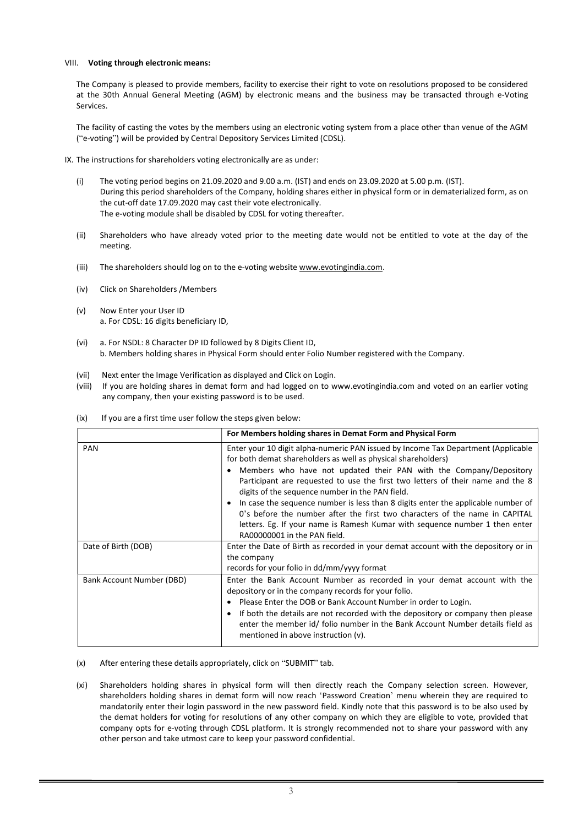### VIII. Voting through electronic means:

The Company is pleased to provide members, facility to exercise their right to vote on resolutions proposed to be considered at the 30th Annual General Meeting (AGM) by electronic means and the business may be transacted through e-Voting Services.

The facility of casting the votes by the members using an electronic voting system from a place other than venue of the AGM ("e-voting") will be provided by Central Depository Services Limited (CDSL).

- IX. The instructions for shareholders voting electronically are as under:
	- (i) The voting period begins on 21.09.2020 and 9.00 a.m. (IST) and ends on 23.09.2020 at 5.00 p.m. (IST). During this period shareholders of the Company, holding shares either in physical form or in dematerialized form, as on the cut-off date 17.09.2020 may cast their vote electronically. The e-voting module shall be disabled by CDSL for voting thereafter.
	- (ii) Shareholders who have already voted prior to the meeting date would not be entitled to vote at the day of the meeting.
	- (iii) The shareholders should log on to the e-voting website www.evotingindia.com.
	- (iv) Click on Shareholders /Members
	- (v) Now Enter your User ID a. For CDSL: 16 digits beneficiary ID,
	- (vi) a. For NSDL: 8 Character DP ID followed by 8 Digits Client ID, b. Members holding shares in Physical Form should enter Folio Number registered with the Company.
	- (vii) Next enter the Image Verification as displayed and Click on Login.
	- (viii) If you are holding shares in demat form and had logged on to www.evotingindia.com and voted on an earlier voting any company, then your existing password is to be used.

| (ix) | If you are a first time user follow the steps given below: |  |
|------|------------------------------------------------------------|--|
|------|------------------------------------------------------------|--|

|                           | For Members holding shares in Demat Form and Physical Form                                                                                                                                                                                                                                                                                                                                                                                                                                                                                                                                                                                      |
|---------------------------|-------------------------------------------------------------------------------------------------------------------------------------------------------------------------------------------------------------------------------------------------------------------------------------------------------------------------------------------------------------------------------------------------------------------------------------------------------------------------------------------------------------------------------------------------------------------------------------------------------------------------------------------------|
| <b>PAN</b>                | Enter your 10 digit alpha-numeric PAN issued by Income Tax Department (Applicable<br>for both demat shareholders as well as physical shareholders)<br>Members who have not updated their PAN with the Company/Depository<br>Participant are requested to use the first two letters of their name and the 8<br>digits of the sequence number in the PAN field.<br>In case the sequence number is less than 8 digits enter the applicable number of<br>0's before the number after the first two characters of the name in CAPITAL<br>letters. Eg. If your name is Ramesh Kumar with sequence number 1 then enter<br>RA00000001 in the PAN field. |
| Date of Birth (DOB)       | Enter the Date of Birth as recorded in your demat account with the depository or in<br>the company<br>records for your folio in dd/mm/yyyy format                                                                                                                                                                                                                                                                                                                                                                                                                                                                                               |
| Bank Account Number (DBD) | Enter the Bank Account Number as recorded in your demat account with the<br>depository or in the company records for your folio.<br>Please Enter the DOB or Bank Account Number in order to Login.<br>If both the details are not recorded with the depository or company then please<br>enter the member id/ folio number in the Bank Account Number details field as<br>mentioned in above instruction (v).                                                                                                                                                                                                                                   |

- (x) After entering these details appropriately, click on "SUBMIT" tab.
- (xi) Shareholders holding shares in physical form will then directly reach the Company selection screen. However, shareholders holding shares in demat form will now reach 'Password Creation' menu wherein they are required to mandatorily enter their login password in the new password field. Kindly note that this password is to be also used by the demat holders for voting for resolutions of any other company on which they are eligible to vote, provided that company opts for e-voting through CDSL platform. It is strongly recommended not to share your password with any other person and take utmost care to keep your password confidential.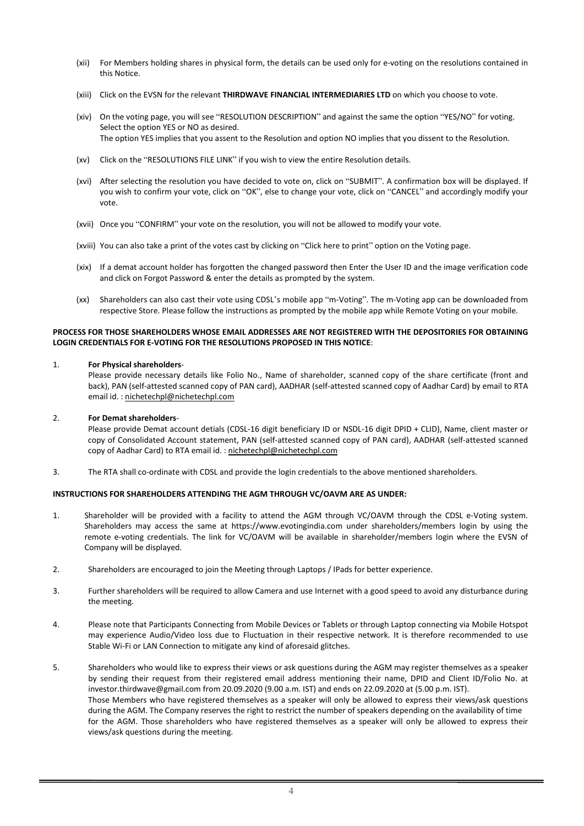- (xii) For Members holding shares in physical form, the details can be used only for e-voting on the resolutions contained in this Notice.
- (xiii) Click on the EVSN for the relevant THIRDWAVE FINANCIAL INTERMEDIARIES LTD on which you choose to vote.
- (xiv) On the voting page, you will see "RESOLUTION DESCRIPTION" and against the same the option "YES/NO" for voting. Select the option YES or NO as desired. The option YES implies that you assent to the Resolution and option NO implies that you dissent to the Resolution.
- (xv) Click on the "RESOLUTIONS FILE LINK" if you wish to view the entire Resolution details.
- (xvi) After selecting the resolution you have decided to vote on, click on "SUBMIT". A confirmation box will be displayed. If you wish to confirm your vote, click on "OK", else to change your vote, click on "CANCEL" and accordingly modify your vote.
- (xvii) Once you "CONFIRM" your vote on the resolution, you will not be allowed to modify your vote.
- (xviii) You can also take a print of the votes cast by clicking on "Click here to print" option on the Voting page.
- (xix) If a demat account holder has forgotten the changed password then Enter the User ID and the image verification code and click on Forgot Password & enter the details as prompted by the system.
- (xx) Shareholders can also cast their vote using CDSL's mobile app "m-Voting". The m-Voting app can be downloaded from respective Store. Please follow the instructions as prompted by the mobile app while Remote Voting on your mobile.

#### PROCESS FOR THOSE SHAREHOLDERS WHOSE EMAIL ADDRESSES ARE NOT REGISTERED WITH THE DEPOSITORIES FOR OBTAINING LOGIN CREDENTIALS FOR E-VOTING FOR THE RESOLUTIONS PROPOSED IN THIS NOTICE:

#### 1. For Physical shareholders-

Please provide necessary details like Folio No., Name of shareholder, scanned copy of the share certificate (front and back), PAN (self-attested scanned copy of PAN card), AADHAR (self-attested scanned copy of Aadhar Card) by email to RTA email id. : nichetechpl@nichetechpl.com

#### 2. For Demat shareholders-

Please provide Demat account detials (CDSL-16 digit beneficiary ID or NSDL-16 digit DPID + CLID), Name, client master or copy of Consolidated Account statement, PAN (self-attested scanned copy of PAN card), AADHAR (self-attested scanned copy of Aadhar Card) to RTA email id. : nichetechpl@nichetechpl.com

3. The RTA shall co-ordinate with CDSL and provide the login credentials to the above mentioned shareholders.

#### INSTRUCTIONS FOR SHAREHOLDERS ATTENDING THE AGM THROUGH VC/OAVM ARE AS UNDER:

- 1. Shareholder will be provided with a facility to attend the AGM through VC/OAVM through the CDSL e-Voting system. Shareholders may access the same at https://www.evotingindia.com under shareholders/members login by using the remote e-voting credentials. The link for VC/OAVM will be available in shareholder/members login where the EVSN of Company will be displayed.
- 2. Shareholders are encouraged to join the Meeting through Laptops / IPads for better experience.
- 3. Further shareholders will be required to allow Camera and use Internet with a good speed to avoid any disturbance during the meeting.
- 4. Please note that Participants Connecting from Mobile Devices or Tablets or through Laptop connecting via Mobile Hotspot may experience Audio/Video loss due to Fluctuation in their respective network. It is therefore recommended to use Stable Wi-Fi or LAN Connection to mitigate any kind of aforesaid glitches.
- 5. Shareholders who would like to express their views or ask questions during the AGM may register themselves as a speaker by sending their request from their registered email address mentioning their name, DPID and Client ID/Folio No. at investor.thirdwave@gmail.com from 20.09.2020 (9.00 a.m. IST) and ends on 22.09.2020 at (5.00 p.m. IST). Those Members who have registered themselves as a speaker will only be allowed to express their views/ask questions during the AGM. The Company reserves the right to restrict the number of speakers depending on the availability of time for the AGM. Those shareholders who have registered themselves as a speaker will only be allowed to express their views/ask questions during the meeting.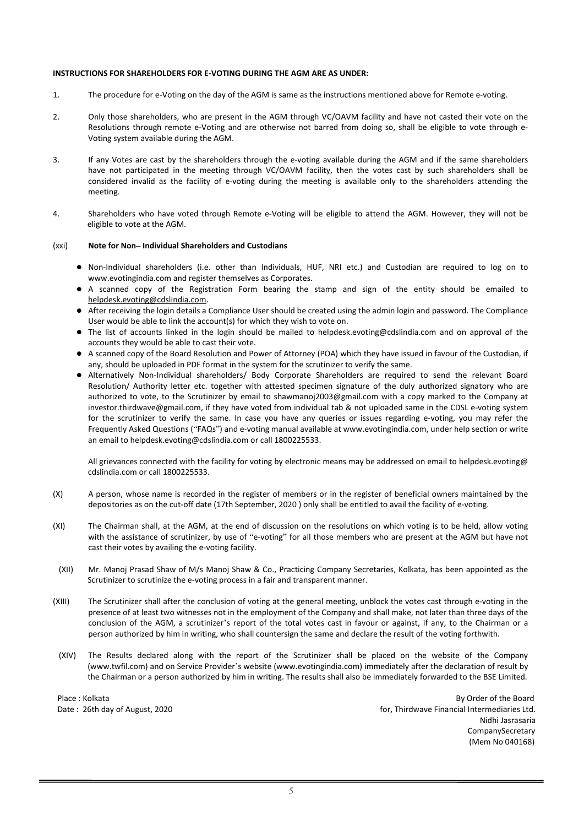#### INSTRUCTIONS FOR SHAREHOLDERS FOR E-VOTING DURING THE AGM ARE AS UNDER:

- 1. The procedure for e-Voting on the day of the AGM is same as the instructions mentioned above for Remote e-voting.
- 2. Only those shareholders, who are present in the AGM through VC/OAVM facility and have not casted their vote on the Resolutions through remote e-Voting and are otherwise not barred from doing so, shall be eligible to vote through e-Voting system available during the AGM.
- 3. If any Votes are cast by the shareholders through the e-voting available during the AGM and if the same shareholders have not participated in the meeting through VC/OAVM facility, then the votes cast by such shareholders shall be considered invalid as the facility of e-voting during the meeting is available only to the shareholders attending the meeting.
- 4. Shareholders who have voted through Remote e-Voting will be eligible to attend the AGM. However, they will not be eligible to vote at the AGM.

#### (xxi) Note for Non– Individual Shareholders and Custodians

- Non-Individual shareholders (i.e. other than Individuals, HUF, NRI etc.) and Custodian are required to log on to www.evotingindia.com and register themselves as Corporates.
- A scanned copy of the Registration Form bearing the stamp and sign of the entity should be emailed to helpdesk.evoting@cdslindia.com.
- After receiving the login details a Compliance User should be created using the admin login and password. The Compliance User would be able to link the account(s) for which they wish to vote on.
- The list of accounts linked in the login should be mailed to helpdesk.evoting@cdslindia.com and on approval of the accounts they would be able to cast their vote.
- A scanned copy of the Board Resolution and Power of Attorney (POA) which they have issued in favour of the Custodian, if any, should be uploaded in PDF format in the system for the scrutinizer to verify the same.
- Alternatively Non-Individual shareholders/ Body Corporate Shareholders are required to send the relevant Board Resolution/ Authority letter etc. together with attested specimen signature of the duly authorized signatory who are authorized to vote, to the Scrutinizer by email to shawmanoj2003@gmail.com with a copy marked to the Company at investor.thirdwave@gmail.com, if they have voted from individual tab & not uploaded same in the CDSL e-voting system for the scrutinizer to verify the same. In case you have any queries or issues regarding e-voting, you may refer the Frequently Asked Questions ("FAQs") and e-voting manual available at www.evotingindia.com, under help section or write an email to helpdesk.evoting@cdslindia.com or call 1800225533.

All grievances connected with the facility for voting by electronic means may be addressed on email to helpdesk.evoting@ cdslindia.com or call 1800225533.

- (X) A person, whose name is recorded in the register of members or in the register of beneficial owners maintained by the depositories as on the cut-off date (17th September, 2020 ) only shall be entitled to avail the facility of e-voting.
- (XI) The Chairman shall, at the AGM, at the end of discussion on the resolutions on which voting is to be held, allow voting with the assistance of scrutinizer, by use of "e-voting" for all those members who are present at the AGM but have not cast their votes by availing the e-voting facility.
- (XII) Mr. Manoj Prasad Shaw of M/s Manoj Shaw & Co., Practicing Company Secretaries, Kolkata, has been appointed as the Scrutinizer to scrutinize the e-voting process in a fair and transparent manner.
- (XIII) The Scrutinizer shall after the conclusion of voting at the general meeting, unblock the votes cast through e-voting in the presence of at least two witnesses not in the employment of the Company and shall make, not later than three days of the conclusion of the AGM, a scrutinizer's report of the total votes cast in favour or against, if any, to the Chairman or a person authorized by him in writing, who shall countersign the same and declare the result of the voting forthwith.
- (XIV) The Results declared along with the report of the Scrutinizer shall be placed on the website of the Company (www.twfil.com) and on Service Provider's website (www.evotingindia.com) immediately after the declaration of result by the Chairman or a person authorized by him in writing. The results shall also be immediately forwarded to the BSE Limited.

Place : Kolkata By Order of the Board Date : 26th day of August, 2020 **for August** 2020 **for, Thirdwave Financial Intermediaries Ltd.**  Nidhi Jasrasaria CompanySecretary (Mem No 040168)